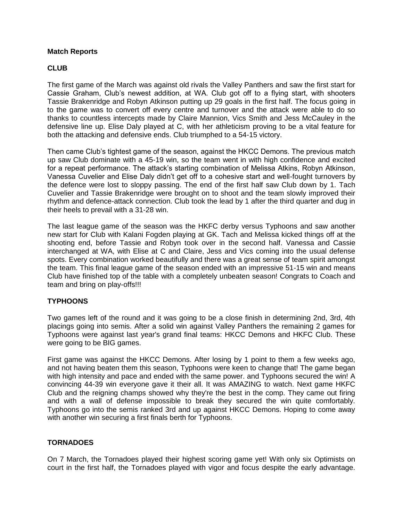# **Match Reports**

#### **CLUB**

The first game of the March was against old rivals the Valley Panthers and saw the first start for Cassie Graham, Club's newest addition, at WA. Club got off to a flying start, with shooters Tassie Brakenridge and Robyn Atkinson putting up 29 goals in the first half. The focus going in to the game was to convert off every centre and turnover and the attack were able to do so thanks to countless intercepts made by Claire Mannion, Vics Smith and Jess McCauley in the defensive line up. Elise Daly played at C, with her athleticism proving to be a vital feature for both the attacking and defensive ends. Club triumphed to a 54-15 victory.

Then came Club's tightest game of the season, against the HKCC Demons. The previous match up saw Club dominate with a 45-19 win, so the team went in with high confidence and excited for a repeat performance. The attack's starting combination of Melissa Atkins, Robyn Atkinson, Vanessa Cuvelier and Elise Daly didn't get off to a cohesive start and well-fought turnovers by the defence were lost to sloppy passing. The end of the first half saw Club down by 1. Tach Cuvelier and Tassie Brakenridge were brought on to shoot and the team slowly improved their rhythm and defence-attack connection. Club took the lead by 1 after the third quarter and dug in their heels to prevail with a 31-28 win.

The last league game of the season was the HKFC derby versus Typhoons and saw another new start for Club with Kalani Fogden playing at GK. Tach and Melissa kicked things off at the shooting end, before Tassie and Robyn took over in the second half. Vanessa and Cassie interchanged at WA, with Elise at C and Claire, Jess and Vics coming into the usual defense spots. Every combination worked beautifully and there was a great sense of team spirit amongst the team. This final league game of the season ended with an impressive 51-15 win and means Club have finished top of the table with a completely unbeaten season! Congrats to Coach and team and bring on play-offs!!!

# **TYPHOONS**

Two games left of the round and it was going to be a close finish in determining 2nd, 3rd, 4th placings going into semis. After a solid win against Valley Panthers the remaining 2 games for Typhoons were against last year's grand final teams: HKCC Demons and HKFC Club. These were going to be BIG games.

First game was against the HKCC Demons. After losing by 1 point to them a few weeks ago, and not having beaten them this season, Typhoons were keen to change that! The game began with high intensity and pace and ended with the same power. and Typhoons secured the win! A convincing 44-39 win everyone gave it their all. It was AMAZING to watch. Next game HKFC Club and the reigning champs showed why they're the best in the comp. They came out firing and with a wall of defense impossible to break they secured the win quite comfortably. Typhoons go into the semis ranked 3rd and up against HKCC Demons. Hoping to come away with another win securing a first finals berth for Typhoons.

# **TORNADOES**

On 7 March, the Tornadoes played their highest scoring game yet! With only six Optimists on court in the first half, the Tornadoes played with vigor and focus despite the early advantage.